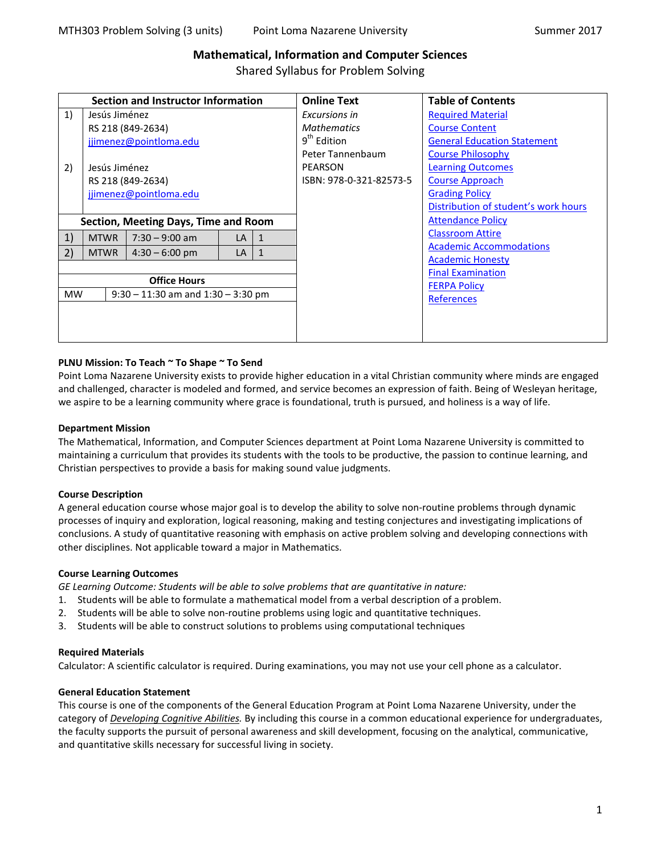# **Mathematical, Information and Computer Sciences**

Shared Syllabus for Problem Solving

| Section and Instructor Information                  |                        |                  |    | <b>Online Text</b> | <b>Table of Contents</b> |                                      |
|-----------------------------------------------------|------------------------|------------------|----|--------------------|--------------------------|--------------------------------------|
| 1)                                                  | Jesús Jiménez          |                  |    |                    | Excursions in            | <b>Required Material</b>             |
|                                                     | RS 218 (849-2634)      |                  |    |                    | <b>Mathematics</b>       | <b>Course Content</b>                |
| jjimenez@pointloma.edu                              |                        |                  |    |                    | $9th$ Edition            | <b>General Education Statement</b>   |
|                                                     |                        |                  |    |                    | Peter Tannenbaum         | <b>Course Philosophy</b>             |
| 2)                                                  | Jesús Jiménez          |                  |    |                    | PEARSON                  | <b>Learning Outcomes</b>             |
|                                                     | RS 218 (849-2634)      |                  |    |                    | ISBN: 978-0-321-82573-5  | <b>Course Approach</b>               |
|                                                     | jjimenez@pointloma.edu |                  |    |                    |                          | <b>Grading Policy</b>                |
|                                                     |                        |                  |    |                    |                          | Distribution of student's work hours |
| Section, Meeting Days, Time and Room                |                        |                  |    |                    |                          | <b>Attendance Policy</b>             |
| 1)                                                  | <b>MTWR</b>            | $7:30 - 9:00$ am | LA | 1                  |                          | <b>Classroom Attire</b>              |
| 2)                                                  | <b>MTWR</b>            | $4:30 - 6:00$ pm | LA | 1                  |                          | <b>Academic Accommodations</b>       |
|                                                     |                        |                  |    |                    | <b>Academic Honesty</b>  |                                      |
|                                                     |                        |                  |    |                    |                          | <b>Final Examination</b>             |
| <b>Office Hours</b>                                 |                        |                  |    |                    |                          | <b>FERPA Policy</b>                  |
| <b>MW</b><br>$9:30 - 11:30$ am and $1:30 - 3:30$ pm |                        |                  |    |                    |                          | <b>References</b>                    |
|                                                     |                        |                  |    |                    |                          |                                      |
|                                                     |                        |                  |    |                    |                          |                                      |
|                                                     |                        |                  |    |                    |                          |                                      |

## <span id="page-0-0"></span>**PLNU Mission: To Teach ~ To Shape ~ To Send**

Point Loma Nazarene University exists to provide higher education in a vital Christian community where minds are engaged and challenged, character is modeled and formed, and service becomes an expression of faith. Being of Wesleyan heritage, we aspire to be a learning community where grace is foundational, truth is pursued, and holiness is a way of life.

## **Department Mission**

The Mathematical, Information, and Computer Sciences department at Point Loma Nazarene University is committed to maintaining a curriculum that provides its students with the tools to be productive, the passion to continue learning, and Christian perspectives to provide a basis for making sound value judgments.

## **Course Description**

A general education course whose major goal is to develop the ability to solve non-routine problems through dynamic processes of inquiry and exploration, logical reasoning, making and testing conjectures and investigating implications of conclusions. A study of quantitative reasoning with emphasis on active problem solving and developing connections with other disciplines. Not applicable toward a major in Mathematics.

## **Course Learning Outcomes**

*GE Learning Outcome: Students will be able to solve problems that are quantitative in nature:*

- 1. Students will be able to formulate a mathematical model from a verbal description of a problem.
- 2. Students will be able to solve non-routine problems using logic and quantitative techniques.
- 3. Students will be able to construct solutions to problems using computational techniques

## **Required Materials**

Calculator: A scientific calculator is required. During examinations, you may not use your cell phone as a calculator.

## <span id="page-0-1"></span>**General Education Statement**

This course is one of the components of the General Education Program at Point Loma Nazarene University, under the category of *Developing Cognitive Abilities.* By including this course in a common educational experience for undergraduates, the faculty supports the pursuit of personal awareness and skill development, focusing on the analytical, communicative, and quantitative skills necessary for successful living in society.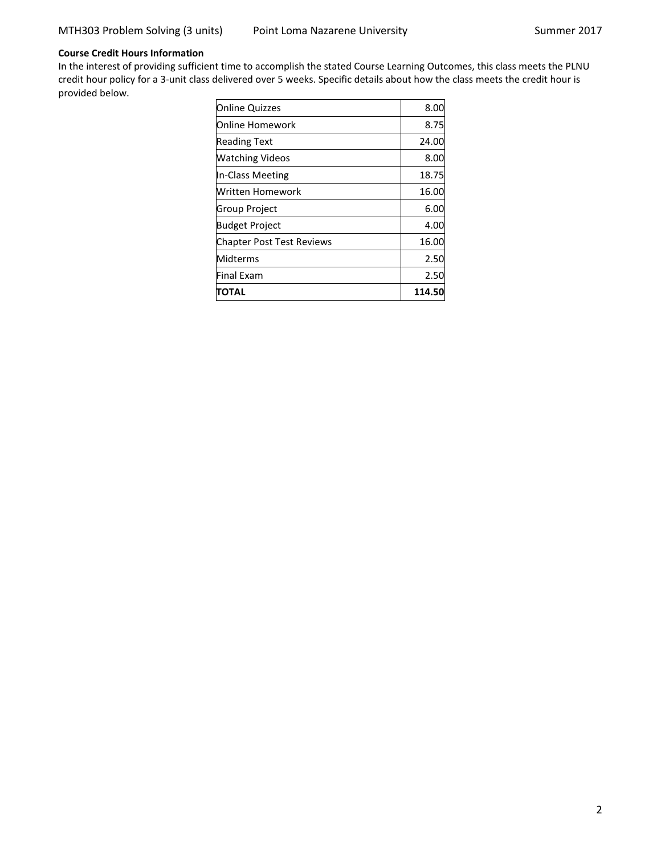## **Course Credit Hours Information**

In the interest of providing sufficient time to accomplish the stated Course Learning Outcomes, this class meets the PLNU credit hour policy for a 3-unit class delivered over 5 weeks. Specific details about how the class meets the credit hour is provided below.

| <b>Online Quizzes</b>     | 8.00   |
|---------------------------|--------|
| <b>Online Homework</b>    | 8.75   |
| <b>Reading Text</b>       | 24.00  |
| <b>Watching Videos</b>    | 8.00   |
| In-Class Meeting          | 18.75  |
| Written Homework          | 16.00  |
| Group Project             | 6.00   |
| <b>Budget Project</b>     | 4.00   |
| Chapter Post Test Reviews | 16.00  |
| Midterms                  | 2.50   |
| Final Exam                | 2.50   |
| ΤΟΤΑL                     | 114.50 |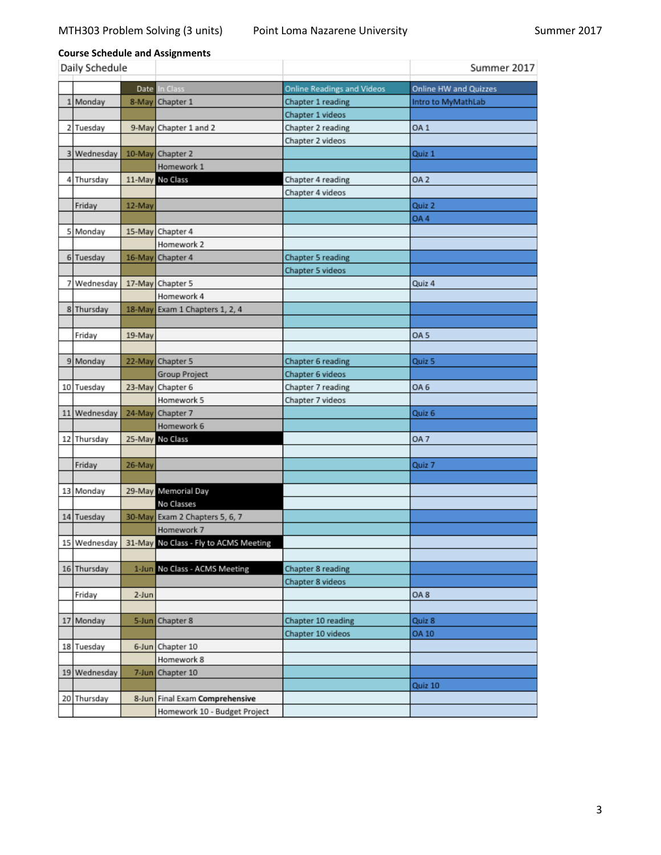# **Course Schedule and Assignments**

| Daily Schedule |             |        |                                                    |                                   | Summer 2017           |
|----------------|-------------|--------|----------------------------------------------------|-----------------------------------|-----------------------|
|                |             |        | Date In Class                                      | <b>Online Readings and Videos</b> | Online HW and Quizzes |
| 1              | Monday      | 8-May  | Chapter 1                                          | Chapter 1 reading                 | Intro to MyMathLab    |
|                |             |        |                                                    | Chapter 1 videos                  |                       |
|                | 2 Tuesday   |        | 9-May Chapter 1 and 2                              | Chapter 2 reading                 | OA <sub>1</sub>       |
|                |             |        |                                                    | Chapter 2 videos                  |                       |
|                | 3 Wednesday |        | 10-May Chapter 2                                   |                                   | Quiz 1                |
|                |             |        | Homework 1                                         |                                   |                       |
|                | 4 Thursday  |        | 11-May No Class                                    | Chapter 4 reading                 | OA <sub>2</sub>       |
|                |             |        |                                                    | Chapter 4 videos                  |                       |
|                | Friday      | 12-May |                                                    |                                   | Quiz 2                |
|                |             |        |                                                    |                                   | OA4                   |
|                | 5 Monday    |        | 15-May Chapter 4                                   |                                   |                       |
|                |             |        | Homework 2                                         |                                   |                       |
|                | 6 Tuesday   |        | 16-May Chapter 4                                   | Chapter 5 reading                 |                       |
|                |             |        |                                                    | Chapter 5 videos                  |                       |
|                | 7 Wednesday |        | 17-May Chapter 5                                   |                                   | Quiz 4                |
|                |             |        | Homework 4                                         |                                   |                       |
|                | 8 Thursday  |        | 18-May Exam 1 Chapters 1, 2, 4                     |                                   |                       |
|                |             |        |                                                    |                                   |                       |
|                | Friday      | 19-May |                                                    |                                   | OA 5                  |
|                |             |        |                                                    |                                   |                       |
|                | 9 Monday    |        | 22-May Chapter 5                                   | Chapter 6 reading                 | Quiz 5                |
|                |             |        | Group Project                                      | Chapter 6 videos                  |                       |
|                | 10 Tuesday  |        | 23-May Chapter 6                                   | Chapter 7 reading                 | OA 6                  |
|                |             |        | Homework 5                                         | Chapter 7 videos                  |                       |
| 11             | Wednesday   | 24-May | Chapter 7                                          |                                   | Quiz 6                |
|                |             |        | Homework 6                                         |                                   |                       |
|                | 12 Thursday |        | 25-May No Class                                    |                                   | OA 7                  |
|                |             |        |                                                    |                                   |                       |
|                | Friday      | 26-May |                                                    |                                   | Quiz 7                |
|                |             |        |                                                    |                                   |                       |
|                | 13 Monday   |        | 29-May Memorial Day                                |                                   |                       |
|                |             |        | No Classes                                         |                                   |                       |
|                | 14 Tuesday  |        | 30-May Exam 2 Chapters 5, 6, 7                     |                                   |                       |
|                |             |        | Homework 7                                         |                                   |                       |
|                |             |        | 15 Wednesday 31-May No Class - Fly to ACMS Meeting |                                   |                       |
|                |             |        |                                                    |                                   |                       |
|                | 16 Thursday |        | 1-Jun No Class - ACMS Meeting                      | Chapter 8 reading                 |                       |
|                |             |        |                                                    | Chapter 8 videos                  |                       |
|                | Friday      | 2-Jun  |                                                    |                                   | OA <sub>8</sub>       |
|                |             |        |                                                    |                                   |                       |
| 17             | Monday      |        | 5-Jun Chapter 8                                    | Chapter 10 reading                | Quiz 8                |
|                |             |        |                                                    | Chapter 10 videos                 | <b>OA 10</b>          |
|                | 18 Tuesday  |        | 6-Jun Chapter 10                                   |                                   |                       |
|                |             |        | Homework 8                                         |                                   |                       |
| 19             | Wednesday   |        | 7-Jun Chapter 10                                   |                                   |                       |
|                |             |        |                                                    |                                   | Quiz 10               |
|                | 20 Thursday |        | 8-Jun Final Exam Comprehensive                     |                                   |                       |
|                |             |        | Homework 10 - Budget Project                       |                                   |                       |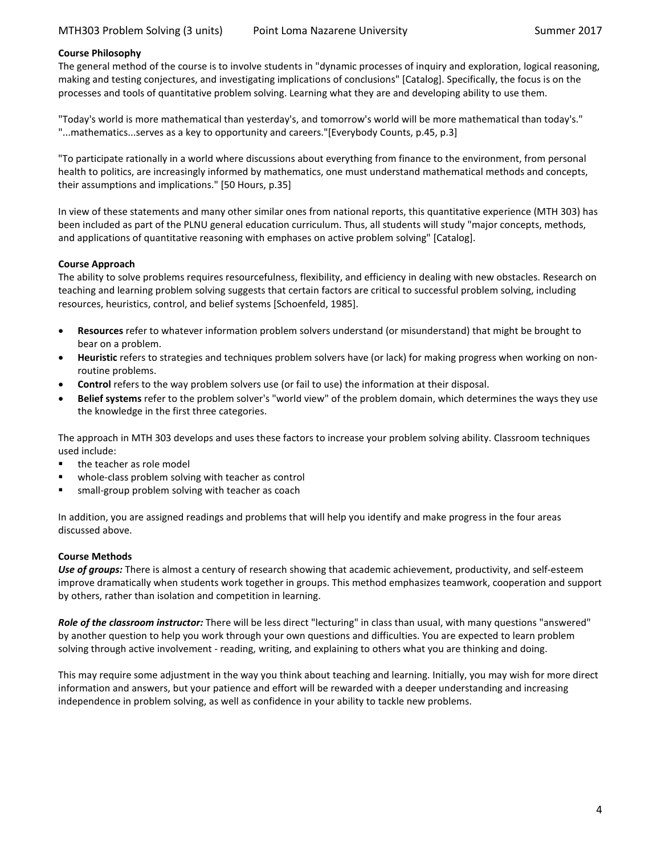#### **Course Philosophy**

The general method of the course is to involve students in "dynamic processes of inquiry and exploration, logical reasoning, making and testing conjectures, and investigating implications of conclusions" [Catalog]. Specifically, the focus is on the processes and tools of quantitative problem solving. Learning what they are and developing ability to use them.

<span id="page-3-0"></span>"Today's world is more mathematical than yesterday's, and tomorrow's world will be more mathematical than today's." "...mathematics...serves as a key to opportunity and careers."[Everybody Counts, p.45, p.3]

"To participate rationally in a world where discussions about everything from finance to the environment, from personal health to politics, are increasingly informed by mathematics, one must understand mathematical methods and concepts, their assumptions and implications." [50 Hours, p.35]

In view of these statements and many other similar ones from national reports, this quantitative experience (MTH 303) has been included as part of the PLNU general education curriculum. Thus, all students will study "major concepts, methods, and applications of quantitative reasoning with emphases on active problem solving" [Catalog].

## <span id="page-3-1"></span>**Course Approach**

The ability to solve problems requires resourcefulness, flexibility, and efficiency in dealing with new obstacles. Research on teaching and learning problem solving suggests that certain factors are critical to successful problem solving, including resources, heuristics, control, and belief systems [Schoenfeld, 1985].

- **Resources** refer to whatever information problem solvers understand (or misunderstand) that might be brought to bear on a problem.
- **Heuristic** refers to strategies and techniques problem solvers have (or lack) for making progress when working on nonroutine problems.
- **Control** refers to the way problem solvers use (or fail to use) the information at their disposal.
- **Belief systems** refer to the problem solver's "world view" of the problem domain, which determines the ways they use the knowledge in the first three categories.

The approach in MTH 303 develops and uses these factors to increase your problem solving ability. Classroom techniques used include:

- the teacher as role model
- whole-class problem solving with teacher as control
- small-group problem solving with teacher as coach

In addition, you are assigned readings and problems that will help you identify and make progress in the four areas discussed above.

#### **Course Methods**

*Use of groups:* There is almost a century of research showing that academic achievement, productivity, and self-esteem improve dramatically when students work together in groups. This method emphasizes teamwork, cooperation and support by others, rather than isolation and competition in learning.

*Role of the classroom instructor:* There will be less direct "lecturing" in class than usual, with many questions "answered" by another question to help you work through your own questions and difficulties. You are expected to learn problem solving through active involvement - reading, writing, and explaining to others what you are thinking and doing.

This may require some adjustment in the way you think about teaching and learning. Initially, you may wish for more direct information and answers, but your patience and effort will be rewarded with a deeper understanding and increasing independence in problem solving, as well as confidence in your ability to tackle new problems.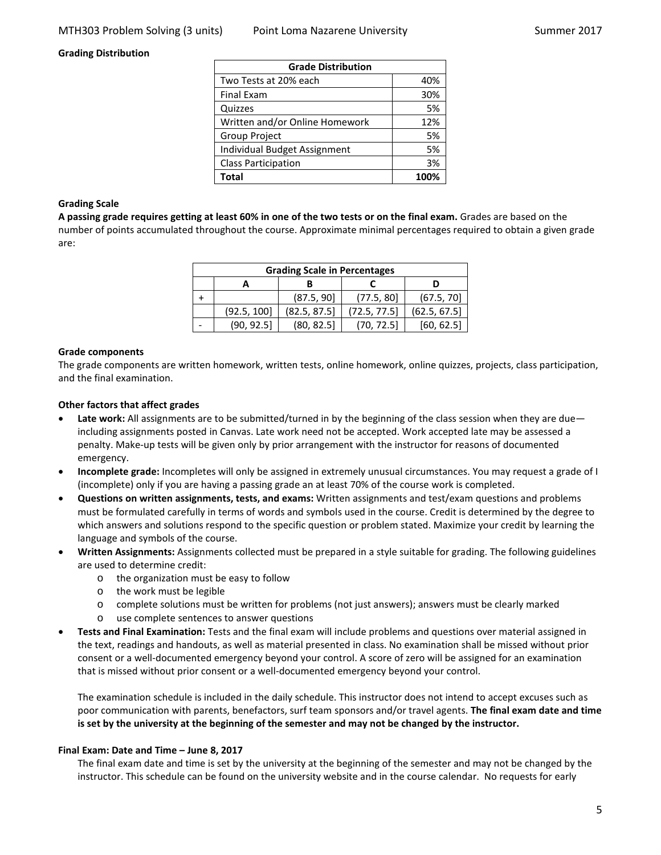#### <span id="page-4-0"></span>**Grading Distribution**

| <b>Grade Distribution</b>      |      |  |  |
|--------------------------------|------|--|--|
| Two Tests at 20% each          | 40%  |  |  |
| <b>Final Exam</b>              | 30%  |  |  |
| Quizzes                        | 5%   |  |  |
| Written and/or Online Homework | 12%  |  |  |
| <b>Group Project</b>           | 5%   |  |  |
| Individual Budget Assignment   | 5%   |  |  |
| <b>Class Participation</b>     | 3%   |  |  |
| Total                          | 100% |  |  |

#### **Grading Scale**

**A passing grade requires getting at least 60% in one of the two tests or on the final exam.** Grades are based on the number of points accumulated throughout the course. Approximate minimal percentages required to obtain a given grade are:

| <b>Grading Scale in Percentages</b> |             |              |              |              |  |  |
|-------------------------------------|-------------|--------------|--------------|--------------|--|--|
|                                     |             |              |              |              |  |  |
|                                     |             | (87.5, 90]   | (77.5, 80)   | (67.5, 70)   |  |  |
|                                     | (92.5, 100] | (82.5, 87.5) | (72.5, 77.5) | (62.5, 67.5) |  |  |
|                                     | (90, 92.5)  | (80, 82.5)   | (70, 72.5)   | [60, 62.5]   |  |  |

#### **Grade components**

The grade components are written homework, written tests, online homework, online quizzes, projects, class participation, and the final examination.

#### **Other factors that affect grades**

- **Late work:** All assignments are to be submitted/turned in by the beginning of the class session when they are due including assignments posted in Canvas. Late work need not be accepted. Work accepted late may be assessed a penalty. Make-up tests will be given only by prior arrangement with the instructor for reasons of documented emergency.
- **Incomplete grade:** Incompletes will only be assigned in extremely unusual circumstances. You may request a grade of I (incomplete) only if you are having a passing grade an at least 70% of the course work is completed.
- **Questions on written assignments, tests, and exams:** Written assignments and test/exam questions and problems must be formulated carefully in terms of words and symbols used in the course. Credit is determined by the degree to which answers and solutions respond to the specific question or problem stated. Maximize your credit by learning the language and symbols of the course.
- **Written Assignments:** Assignments collected must be prepared in a style suitable for grading. The following guidelines are used to determine credit:
	- o the organization must be easy to follow
	- o the work must be legible
	- o complete solutions must be written for problems (not just answers); answers must be clearly marked
	- o use complete sentences to answer questions
- **Tests and Final Examination:** Tests and the final exam will include problems and questions over material assigned in the text, readings and handouts, as well as material presented in class. No examination shall be missed without prior consent or a well-documented emergency beyond your control. A score of zero will be assigned for an examination that is missed without prior consent or a well-documented emergency beyond your control.

The examination schedule is included in the daily schedule. This instructor does not intend to accept excuses such as poor communication with parents, benefactors, surf team sponsors and/or travel agents. **The final exam date and time is set by the university at the beginning of the semester and may not be changed by the instructor.**

#### **Final Exam: Date and Time – June 8, 2017**

The final exam date and time is set by the university at the beginning of the semester and may not be changed by the instructor. This schedule can be found on the university website and in the course calendar. No requests for early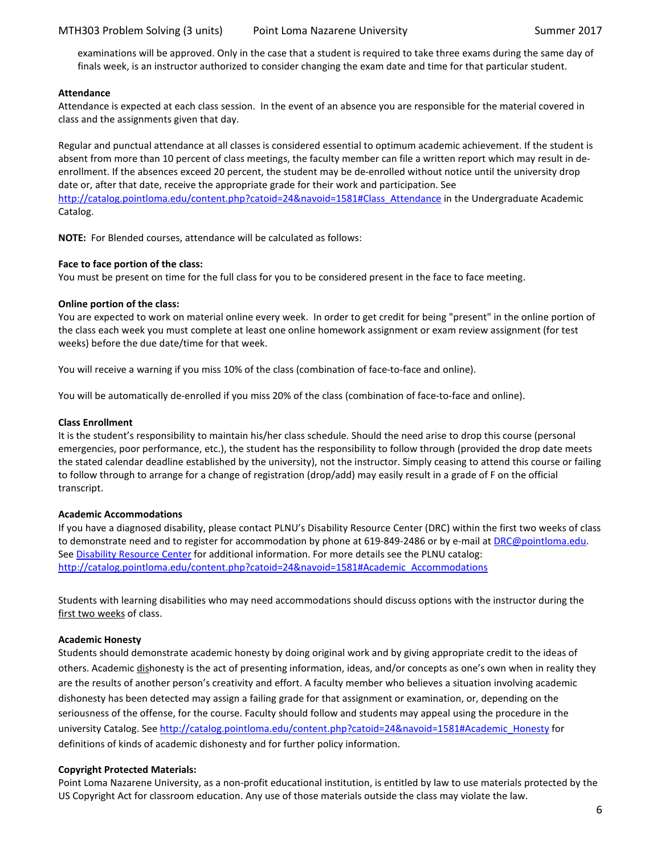examinations will be approved. Only in the case that a student is required to take three exams during the same day of finals week, is an instructor authorized to consider changing the exam date and time for that particular student.

#### <span id="page-5-0"></span>**Attendance**

Attendance is expected at each class session. In the event of an absence you are responsible for the material covered in class and the assignments given that day.

Regular and punctual attendance at all classes is considered essential to optimum academic achievement. If the student is absent from more than 10 percent of class meetings, the faculty member can file a written report which may result in deenrollment. If the absences exceed 20 percent, the student may be de-enrolled without notice until the university drop date or, after that date, receive the appropriate grade for their work and participation. See [http://catalog.pointloma.edu/content.php?catoid=24&navoid=1581#Class\\_Attendance](http://catalog.pointloma.edu/content.php?catoid=24&navoid=1581#Class_Attendance) in the Undergraduate Academic Catalog.

**NOTE:** For Blended courses, attendance will be calculated as follows:

## **Face to face portion of the class:**

You must be present on time for the full class for you to be considered present in the face to face meeting.

## **Online portion of the class:**

You are expected to work on material online every week. In order to get credit for being "present" in the online portion of the class each week you must complete at least one online homework assignment or exam review assignment (for test weeks) before the due date/time for that week.

You will receive a warning if you miss 10% of the class (combination of face-to-face and online).

You will be automatically de-enrolled if you miss 20% of the class (combination of face-to-face and online).

#### **Class Enrollment**

It is the student's responsibility to maintain his/her class schedule. Should the need arise to drop this course (personal emergencies, poor performance, etc.), the student has the responsibility to follow through (provided the drop date meets the stated calendar deadline established by the university), not the instructor. Simply ceasing to attend this course or failing to follow through to arrange for a change of registration (drop/add) may easily result in a grade of F on the official transcript.

## <span id="page-5-1"></span>**Academic Accommodations**

If you have a diagnosed disability, please contact PLNU's Disability Resource Center (DRC) within the first two weeks of class to demonstrate need and to register for accommodation by phone at 619-849-2486 or by e-mail a[t DRC@pointloma.edu.](mailto:DRC@pointloma.edu) See [Disability Resource Center](http://www.pointloma.edu/experience/offices/administrative-offices/academic-advising-office/disability-resource-center) for additional information. For more details see the PLNU catalog: [http://catalog.pointloma.edu/content.php?catoid=24&navoid=1581#Academic\\_Accommodations](http://catalog.pointloma.edu/content.php?catoid=24&navoid=1581#Academic_Accommodations)

Students with learning disabilities who may need accommodations should discuss options with the instructor during the first two weeks of class.

## <span id="page-5-2"></span>**Academic Honesty**

Students should demonstrate academic honesty by doing original work and by giving appropriate credit to the ideas of others. Academic dishonesty is the act of presenting information, ideas, and/or concepts as one's own when in reality they are the results of another person's creativity and effort. A faculty member who believes a situation involving academic dishonesty has been detected may assign a failing grade for that assignment or examination, or, depending on the seriousness of the offense, for the course. Faculty should follow and students may appeal using the procedure in the university Catalog. See [http://catalog.pointloma.edu/content.php?catoid=24&navoid=1581#Academic\\_Honesty](http://catalog.pointloma.edu/content.php?catoid=24&navoid=1581#Academic_Honesty) for definitions of kinds of academic dishonesty and for further policy information.

## **Copyright Protected Materials:**

<span id="page-5-3"></span>Point Loma Nazarene University, as a non-profit educational institution, is entitled by law to use materials protected by the US Copyright Act for classroom education. Any use of those materials outside the class may violate the law.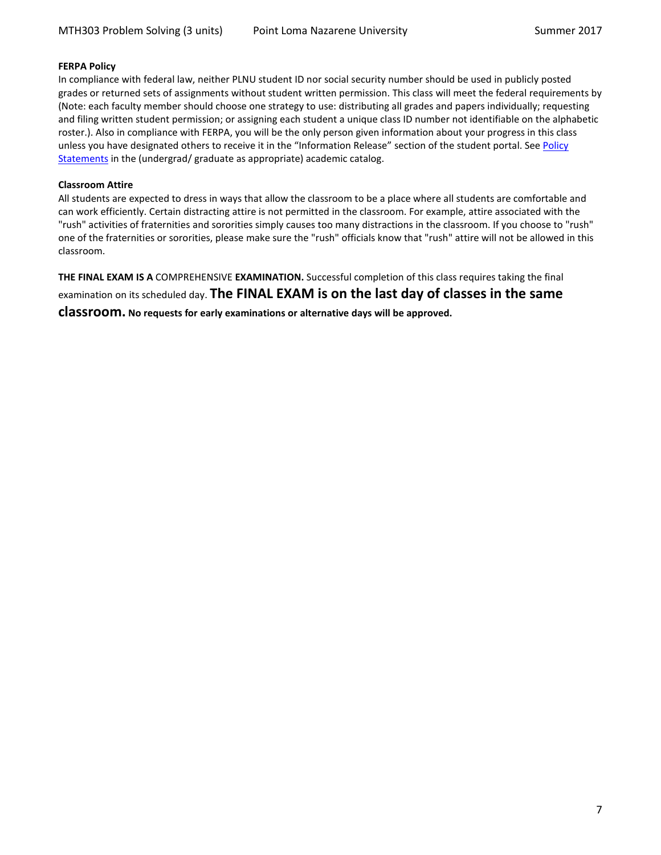#### **FERPA Policy**

In compliance with federal law, neither PLNU student ID nor social security number should be used in publicly posted grades or returned sets of assignments without student written permission. This class will meet the federal requirements by (Note: each faculty member should choose one strategy to use: distributing all grades and papers individually; requesting and filing written student permission; or assigning each student a unique class ID number not identifiable on the alphabetic roster.). Also in compliance with FERPA, you will be the only person given information about your progress in this class unless you have designated others to receive it in the "Information Release" section of the student portal. See Policy [Statements](http://www.pointloma.edu/experience/academics/catalogs/undergraduate-catalog/policy-statements) in the (undergrad/ graduate as appropriate) academic catalog.

#### <span id="page-6-0"></span>**Classroom Attire**

All students are expected to dress in ways that allow the classroom to be a place where all students are comfortable and can work efficiently. Certain distracting attire is not permitted in the classroom. For example, attire associated with the "rush" activities of fraternities and sororities simply causes too many distractions in the classroom. If you choose to "rush" one of the fraternities or sororities, please make sure the "rush" officials know that "rush" attire will not be allowed in this classroom.

<span id="page-6-1"></span>**THE FINAL EXAM IS A** COMPREHENSIVE **EXAMINATION.** Successful completion of this class requires taking the final examination on its scheduled day. **The FINAL EXAM is on the last day of classes in the same** 

**classroom. No requests for early examinations or alternative days will be approved.**